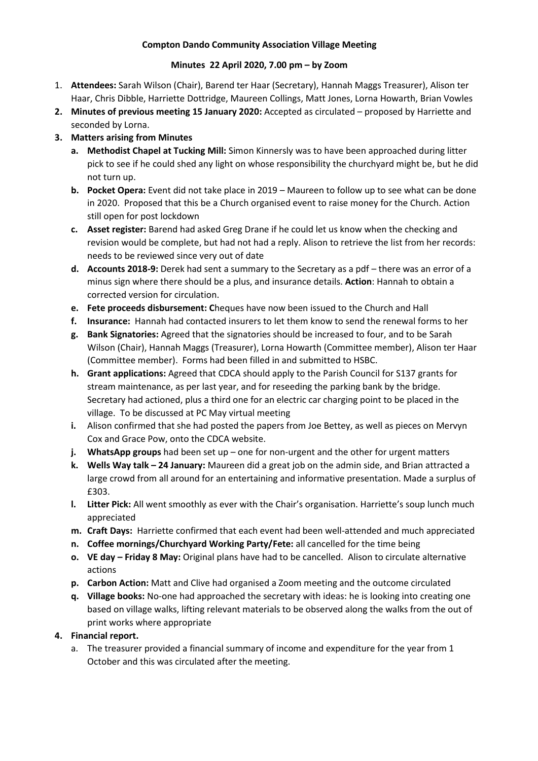## **Compton Dando Community Association Village Meeting**

### **Minutes 22 April 2020, 7.00 pm – by Zoom**

- 1. **Attendees:** Sarah Wilson (Chair), Barend ter Haar (Secretary), Hannah Maggs Treasurer), Alison ter Haar, Chris Dibble, Harriette Dottridge, Maureen Collings, Matt Jones, Lorna Howarth, Brian Vowles
- **2. Minutes of previous meeting 15 January 2020:** Accepted as circulated proposed by Harriette and seconded by Lorna.

# **3. Matters arising from Minutes**

- **a. Methodist Chapel at Tucking Mill:** Simon Kinnersly was to have been approached during litter pick to see if he could shed any light on whose responsibility the churchyard might be, but he did not turn up.
- **b. Pocket Opera:** Event did not take place in 2019 Maureen to follow up to see what can be done in 2020. Proposed that this be a Church organised event to raise money for the Church. Action still open for post lockdown
- **c. Asset register:** Barend had asked Greg Drane if he could let us know when the checking and revision would be complete, but had not had a reply. Alison to retrieve the list from her records: needs to be reviewed since very out of date
- **d. Accounts 2018-9:** Derek had sent a summary to the Secretary as a pdf there was an error of a minus sign where there should be a plus, and insurance details. **Action**: Hannah to obtain a corrected version for circulation.
- **e. Fete proceeds disbursement: C**heques have now been issued to the Church and Hall
- **f. Insurance:** Hannah had contacted insurers to let them know to send the renewal forms to her
- **g. Bank Signatories:** Agreed that the signatories should be increased to four, and to be Sarah Wilson (Chair), Hannah Maggs (Treasurer), Lorna Howarth (Committee member), Alison ter Haar (Committee member). Forms had been filled in and submitted to HSBC.
- **h. Grant applications:** Agreed that CDCA should apply to the Parish Council for S137 grants for stream maintenance, as per last year, and for reseeding the parking bank by the bridge. Secretary had actioned, plus a third one for an electric car charging point to be placed in the village. To be discussed at PC May virtual meeting
- **i.** Alison confirmed that she had posted the papers from Joe Bettey, as well as pieces on Mervyn Cox and Grace Pow, onto the CDCA website.
- **j. WhatsApp groups** had been set up one for non-urgent and the other for urgent matters
- **k. Wells Way talk – 24 January:** Maureen did a great job on the admin side, and Brian attracted a large crowd from all around for an entertaining and informative presentation. Made a surplus of £303.
- **l. Litter Pick:** All went smoothly as ever with the Chair's organisation. Harriette's soup lunch much appreciated
- **m. Craft Days:** Harriette confirmed that each event had been well-attended and much appreciated
- **n. Coffee mornings/Churchyard Working Party/Fete:** all cancelled for the time being
- **o. VE day – Friday 8 May:** Original plans have had to be cancelled. Alison to circulate alternative actions
- **p. Carbon Action:** Matt and Clive had organised a Zoom meeting and the outcome circulated
- **q. Village books:** No-one had approached the secretary with ideas: he is looking into creating one based on village walks, lifting relevant materials to be observed along the walks from the out of print works where appropriate

# **4. Financial report.**

a. The treasurer provided a financial summary of income and expenditure for the year from 1 October and this was circulated after the meeting.